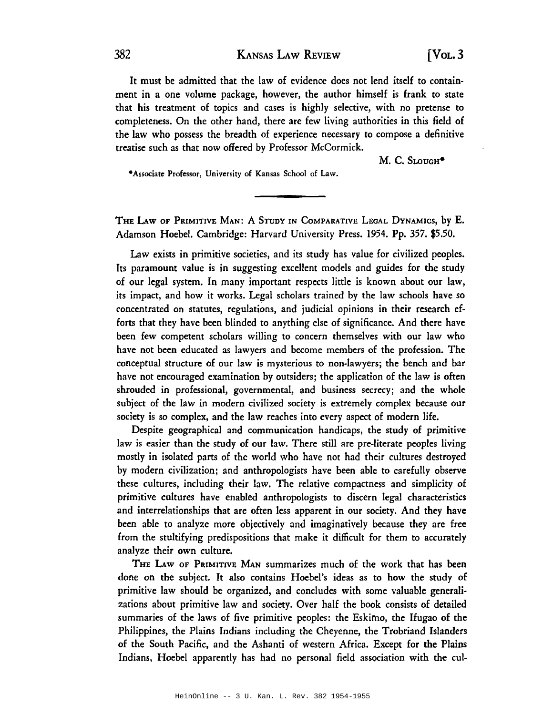## 382 KANSAS LAW REVIEW [VOL. 3

It must be admitted that the law of evidence does not lend itself to containment in a one volume package, however, the author himself is frank to state that his treatment of topics and cases is highly selective, with no pretense to completeness. On the other hand, there are few living authorities in this field of the law who possess the breadth of experience necessary to compose a definitive treatise such as that now offered by Professor McCormick.

M. C. SLOUGH<sup>\*</sup>

-Associate Professor, University of Kansas School of Law.

THE LAw OF PRIMITIVE MAN: A STUDY IN COMPARATIVE LEGAL DYNAMICS, by E. Adamson Hoebe!. Cambridge: Harvard University Press. 1954. Pp. 357. \$5.50.

Law exists in primitive societies, and its study has value for civilized peoples. Its paramount value is in suggesting excellent models and guides for the study of our legal system. In many important respects little is known about our law, its impact, and how it works. Legal scholars trained by the law schools have so concentrated on statutes, regulations, and judicial opinions in their research efforts that they have been blinded to anything else of significance. And there have been few competent scholars willing to concern themselves with our law who have not been educated as lawyers and become members of the profession. The conceptual structure of our law is mysterious to non-lawyers; the bench and bar have not encouraged examination by outsiders; the application of the law is often shrouded in professional, governmental, and business secrecy; and the whole subject of the law in modern civilized society is extremely complex because our society is so complex, and the law reaches into every aspect of modern life.

Despite geographical and communication handicaps, the study of primitive law is easier than the study of our law. There still are pre-literate peoples living mostly in isolated parts of the world who have not had their cultures destroyed by modern civilization; and anthropologists have been able to carefully observe these cultures, including their law. The relative compactness and simplicity of primitive cultures have enabled anthropologists to discern legal characteristics and interrelationships that are often less apparent in our society. And they have been able to analyze more objectively and imaginatively because they are free from the stultifying predispositions that make it difficult for them to accurately analyze their own culture.

THE LAW OF PRIMITIVE MAN summarizes much of the work that has been done on the subject. It also contains Hoebel's ideas as to how the study of primitive law should be organized, and concludes with some valuable generalizations about primitive law and society. Over half the book consists of detailed summaries of the laws of five primitive peoples: the Eskimo, the Ifugao of the Philippines, the Plains Indians including the Cheyenne, the Trobriand Islanders of the South Pacific, and the Ashanti of western Africa. Except for the Plains Indians, Hoebel apparently has had no personal field association with the cul-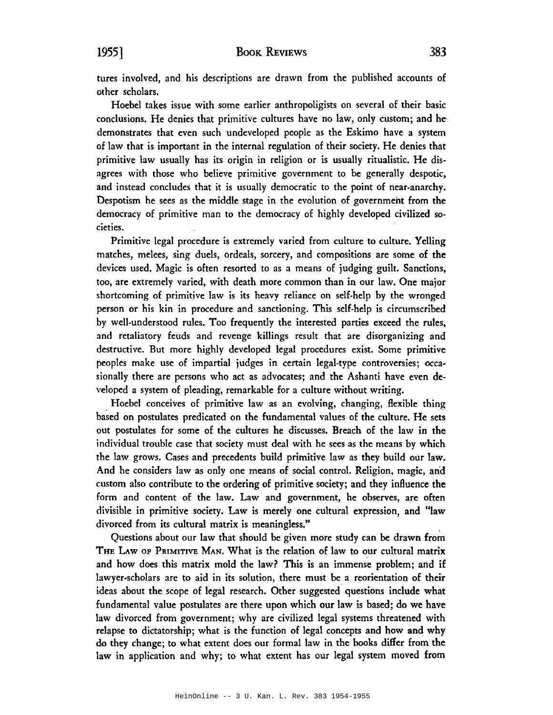## 1955] BOOK REVIEWS 383

tures involved, and his descriptions are drawn from the published accounts of other scholars.

Hoebel takes issue with some earlier anthropoligists on several of their basic conclusions. He denies that primitive cultures have no law, only custom; and he demonstrates that even such undeveloped people as the Eskimo have a system of law that is important in the internal regulation of their society. He denies that primitive law usually has its origin in religion or is usually ritualistic. He disagrees with those who believe primitive government to be generally despotic, and instead concludes that it is usually democratic to the point of near-anarchy. Despotism he sees as the middle stage in the evolution of government from the democracy of primitive man to the democracy of highly developed civilized societies.

Primitive legal procedure is extremely varied from culture to culture. Yelling matches, melees, sing duels, ordeals, sorcery, and compositions are some of the devices used. Magic is often resorted to as a means of judging guilt. Sanctions, too, are extremely varied, with death more common than in our law. One major shortcoming of primitive law is its heavy reliance on self-help by the wronged person or his kin in procedure and sanctioning. This self-help is circumscribed by well-understood rules. Too frequently the interested parties exceed the rules, and retaliatory feuds and revenge killings result that are disorganizing and destructive. But more highly developed legal procedures exist. Some primitive peoples make use of impartial judges in certain legal-type controversies; occasionally there are persons who act as advocates; and the Ashanti have even developed a system of pleading, remarkable for a culture without writing.

. Hoebel conceives of primitive law as an evolving, changing, flexible thing based on postulates predicated on the fundamental values of the culture. He sets out postulates for some of the cultures he discusses. Breach of the law in the individual trouble case that society must deal with he sees as the means by which the law grows. Cases and precedents build primitive law as they build our law. And he considers law as only one means of social control. Religion, magic, arid custom also contribute to the ordering of primitive society; and they influence the form and content of the law. Law and government, he observes, are often divisible in primitive society. Law is merely one cultural expression, and "law divorced from its cultural matrix is meaningless."

Questions about our law that should be given more study can be drawn from THE LAW OF PRIMITIVE MAN. What is the relation of law to our cultural matrix and how does this matrix mold the law? This is an immense problem; and if lawyer-scholars are to aid in its solution, there must be a reorientation of their ideas about the scope of legal research. Other suggested questions include what fundamental value postulates are there upon which our law is based; do we have law divorced from government; why are civilized legal systems threatened with relapse to dictatorship; what is the function of legal concepts and how and why do they change; to what extent does our formal law in the books differ from the law in application and why; to what extent has our legal system moved from